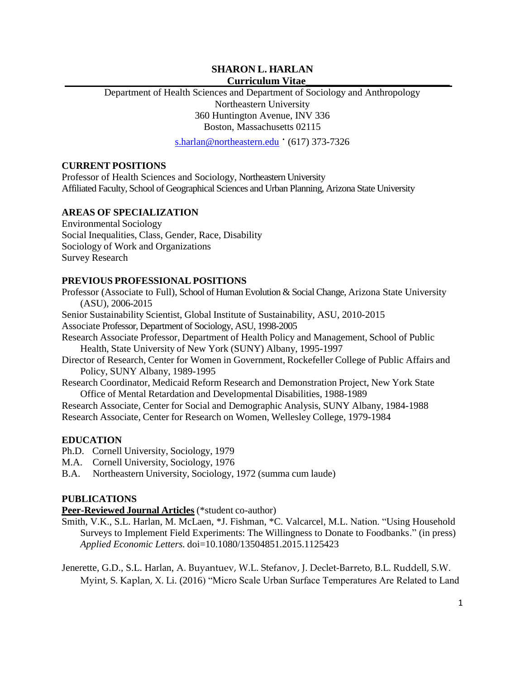## **SHARON L. HARLAN Curriculum Vitae\_\_\_\_\_\_\_\_\_\_\_\_\_\_\_\_\_\_\_\_\_\_\_\_\_\_\_\_**

Department of Health Sciences and Department of Sociology and Anthropology Northeastern University 360 Huntington Avenue, INV 336 Boston, Massachusetts 02115

[s.harlan@northeastern.edu](mailto:s.harlan@northeastern.edu) ' (617) 373-7326

## **CURRENT POSITIONS**

Professor of Health Sciences and Sociology, Northeastern University Affiliated Faculty, School of Geographical Sciences and Urban Planning, Arizona State University

## **AREAS OF SPECIALIZATION**

Environmental Sociology Social Inequalities, Class, Gender, Race, Disability Sociology of Work and Organizations Survey Research

## **PREVIOUS PROFESSIONAL POSITIONS**

Professor (Associate to Full), School of Human Evolution & Social Change, Arizona State University (ASU), 2006-2015

Senior Sustainability Scientist, Global Institute of Sustainability, ASU, 2010-2015

Associate Professor, Department of Sociology, ASU, 1998-2005

Research Associate Professor, Department of Health Policy and Management, School of Public Health, State University of New York (SUNY) Albany, 1995-1997

Director of Research, Center for Women in Government, Rockefeller College of Public Affairs and Policy, SUNY Albany, 1989-1995

Research Coordinator, Medicaid Reform Research and Demonstration Project, New York State Office of Mental Retardation and Developmental Disabilities, 1988-1989

Research Associate, Center for Social and Demographic Analysis, SUNY Albany, 1984-1988 Research Associate, Center for Research on Women, Wellesley College, 1979-1984

## **EDUCATION**

Ph.D. Cornell University, Sociology, 1979

M.A. Cornell University, Sociology, 1976

B.A. Northeastern University, Sociology, 1972 (summa cum laude)

## **PUBLICATIONS**

**Peer-Reviewed Journal Articles** (\*student co-author)

Smith, V.K., S.L. Harlan, M. McLaen, \*J. Fishman, \*C. Valcarcel, M.L. Nation. "Using Household Surveys to Implement Field Experiments: The Willingness to Donate to Foodbanks." (in press) *Applied Economic Letters.* doi=10.1080/13504851.2015.1125423

Jenerette, G.D., S.L. Harlan, A. Buyantuev, W.L. Stefanov, J. Declet-Barreto, B.L. Ruddell, S.W. Myint, S. Kaplan, X. Li. (2016) "Micro Scale Urban Surface Temperatures Are Related to Land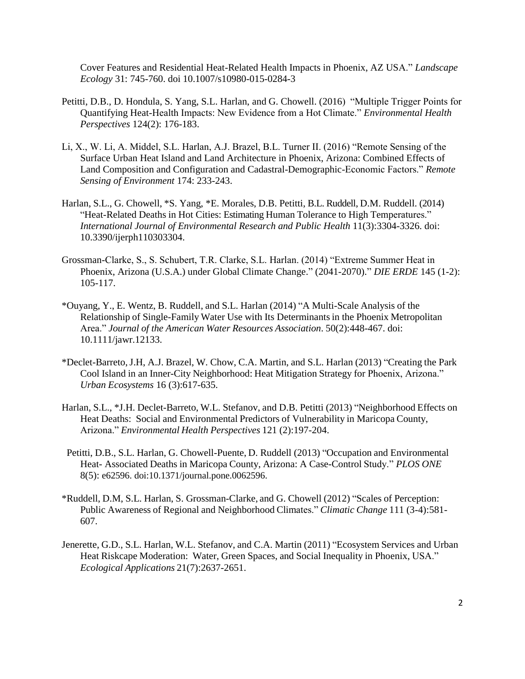Cover Features and Residential Heat-Related Health Impacts in Phoenix, AZ USA." *Landscape Ecology* 31: 745-760. doi 10.1007/s10980-015-0284-3

- Petitti, D.B., D. Hondula, S. Yang, S.L. Harlan, and G. Chowell. (2016) "Multiple Trigger Points for Quantifying Heat-Health Impacts: New Evidence from a Hot Climate." *Environmental Health Perspectives* 124(2): 176-183.
- Li, X., W. Li, A. Middel, S.L. Harlan, A.J. Brazel, B.L. Turner II. (2016) "Remote Sensing of the Surface Urban Heat Island and Land Architecture in Phoenix, Arizona: Combined Effects of Land Composition and Configuration and Cadastral-Demographic-Economic Factors." *Remote Sensing of Environment* 174: 233-243.
- Harlan, S.L., G. Chowell, \*S. Yang, \*E. Morales, D.B. Petitti, B.L. Ruddell, D.M. Ruddell. (2014) "Heat-Related Deaths in Hot Cities: Estimating Human Tolerance to High Temperatures." *International Journal of Environmental Research and Public Health* 11(3):3304-3326. doi: 10.3390/ijerph110303304.
- Grossman-Clarke, S., S. Schubert, T.R. Clarke, S.L. Harlan. (2014) "Extreme Summer Heat in Phoenix, Arizona (U.S.A.) under Global Climate Change." (2041-2070)." *DIE ERDE* 145 (1-2): 105-117.
- \*Ouyang, Y., E. Wentz, B. Ruddell, and S.L. Harlan (2014) "A Multi-Scale Analysis of the Relationship of Single-Family Water Use with Its Determinantsin the Phoenix Metropolitan Area." *Journal of the American Water Resources Association*. 50(2):448-467. doi: 10.1111/jawr.12133.
- \*Declet-Barreto,J.H, A.J. Brazel, W. Chow, C.A. Martin, and S.L. Harlan (2013) "Creating the Park Cool Island in an Inner-City Neighborhood: Heat Mitigation Strategy for Phoenix, Arizona." *Urban Ecosystems* 16 (3):617-635.
- Harlan, S.L., \*J.H. Declet-Barreto, W.L. Stefanov, and D.B. Petitti (2013) "Neighborhood Effects on Heat Deaths: Social and Environmental Predictors of Vulnerability in Maricopa County, Arizona." *Environmental Health Perspectives* 121 (2):197-204.
- Petitti, D.B., S.L. Harlan, G. Chowell-Puente, D. Ruddell (2013) "Occupation and Environmental Heat- Associated Deaths in Maricopa County, Arizona: A Case-Control Study." *PLOS ONE*  8(5): e62596. doi:10.1371/journal.pone.0062596.
- \*Ruddell, D.M, S.L. Harlan, S. Grossman-Clarke, and G. Chowell (2012) "Scales of Perception: Public Awareness of Regional and Neighborhood Climates." *Climatic Change* 111 (3-4):581- 607.
- Jenerette, G.D., S.L. Harlan, W.L. Stefanov, and C.A. Martin (2011) "Ecosystem Services and Urban Heat Riskcape Moderation: Water, Green Spaces, and Social Inequality in Phoenix, USA." *Ecological Applications* 21(7):2637-2651.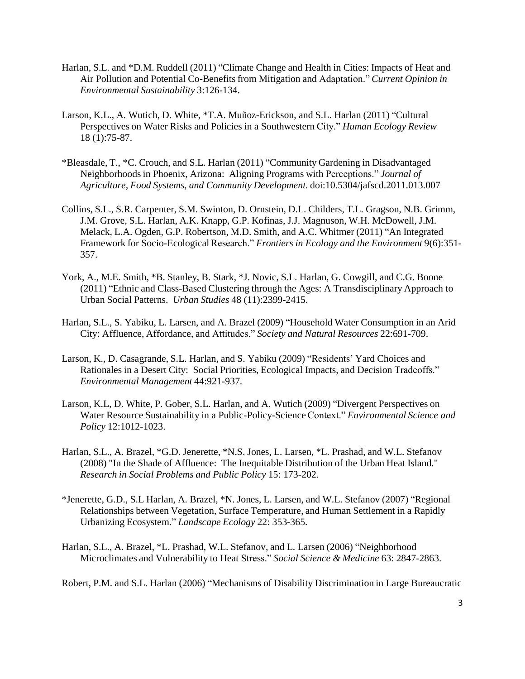- Harlan, S.L. and \*D.M. Ruddell (2011) "Climate Change and Health in Cities: Impacts of Heat and Air Pollution and Potential Co-Benefits from Mitigation and Adaptation." *Current Opinion in Environmental Sustainability* 3:126-134.
- Larson, K.L., A. Wutich, D. White, \*T.A. Muñoz-Erickson, and S.L. Harlan (2011) "Cultural Perspectives on Water Risks and Policies in a Southwestern City." *Human Ecology Review* 18 (1):75-87.
- \*Bleasdale, T., \*C. Crouch, and S.L. Harlan (2011) "Community Gardening in Disadvantaged Neighborhoodsin Phoenix, Arizona: Aligning Programs with Perceptions." *Journal of Agriculture, Food Systems, and Community Development.* doi:10.5304/jafscd.2011.013.007
- Collins, S.L., S.R. Carpenter, S.M. Swinton, D. Ornstein, D.L. Childers, T.L. Gragson, N.B. Grimm, J.M. Grove, S.L. Harlan, A.K. Knapp, G.P. Kofinas, J.J. Magnuson, W.H. McDowell, J.M. Melack, L.A. Ogden, G.P. Robertson, M.D. Smith, and A.C. Whitmer (2011) "An Integrated Framework for Socio-Ecological Research." *Frontiers in Ecology and the Environment* 9(6):351- 357.
- York, A., M.E. Smith, \*B. Stanley, B. Stark, \*J. Novic, S.L. Harlan, G. Cowgill, and C.G. Boone (2011) "Ethnic and Class-Based Clustering through the Ages: A Transdisciplinary Approach to Urban Social Patterns. *Urban Studies* 48 (11):2399-2415.
- Harlan, S.L., S. Yabiku, L. Larsen, and A. Brazel (2009) "Household Water Consumption in an Arid City: Affluence, Affordance, and Attitudes." *Society and Natural Resources* 22:691-709.
- Larson, K., D. Casagrande, S.L. Harlan, and S. Yabiku (2009) "Residents' Yard Choices and Rationales in a Desert City: Social Priorities, Ecological Impacts, and Decision Tradeoffs." *Environmental Management* 44:921-937*.*
- Larson, K.L, D. White, P. Gober, S.L. Harlan, and A. Wutich (2009) "Divergent Perspectives on Water Resource Sustainability in a Public-Policy-ScienceContext." *Environmental Science and Policy* 12:1012-1023.
- Harlan, S.L., A. Brazel, \*G.D. Jenerette, \*N.S. Jones, L. Larsen, \*L. Prashad, and W.L. Stefanov (2008) "In the Shade of Affluence: The Inequitable Distribution of the Urban Heat Island." *Research in Social Problems and Public Policy* 15: 173-202*.*
- \*Jenerette, G.D., S.L Harlan, A. Brazel, \*N. Jones, L. Larsen, and W.L. Stefanov (2007) "Regional Relationships between Vegetation, Surface Temperature, and Human Settlement in a Rapidly Urbanizing Ecosystem." *Landscape Ecology* 22: 353-365.
- Harlan, S.L., A. Brazel, \*L. Prashad, W.L. Stefanov, and L. Larsen (2006) "Neighborhood Microclimates and Vulnerability to Heat Stress." *Social Science & Medicine* 63: 2847-2863.
- Robert, P.M. and S.L. Harlan (2006) "Mechanisms of Disability Discrimination in Large Bureaucratic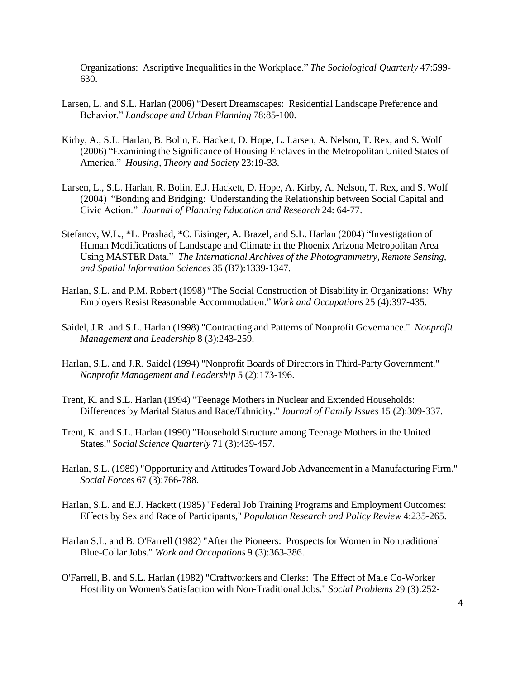Organizations: Ascriptive Inequalities in the Workplace." *The Sociological Quarterly* 47:599- 630.

- Larsen, L. and S.L. Harlan (2006) "Desert Dreamscapes: Residential Landscape Preference and Behavior." *Landscape and Urban Planning* 78:85-100.
- Kirby, A., S.L. Harlan, B. Bolin, E. Hackett, D. Hope, L. Larsen, A. Nelson, T. Rex, and S. Wolf (2006) "Examining the Significance of Housing Enclaves in the Metropolitan United States of America." *Housing, Theory and Society* 23:19-33.
- Larsen, L., S.L. Harlan, R. Bolin, E.J. Hackett, D. Hope, A. Kirby, A. Nelson, T. Rex, and S. Wolf (2004) "Bonding and Bridging: Understanding the Relationship between Social Capital and Civic Action." *Journal of Planning Education and Research* 24: 64-77.
- Stefanov, W.L., \*L. Prashad, \*C. Eisinger, A. Brazel, and S.L. Harlan (2004) "Investigation of Human Modifications of Landscape and Climate in the Phoenix Arizona Metropolitan Area Using MASTER Data." *The International Archives of the Photogrammetry, Remote Sensing, and Spatial Information Sciences* 35 (B7):1339-1347.
- Harlan, S.L. and P.M. Robert (1998) "The Social Construction of Disability in Organizations: Why Employers Resist Reasonable Accommodation." *Work and Occupations* 25 (4):397-435.
- Saidel, J.R. and S.L. Harlan (1998) "Contracting and Patterns of Nonprofit Governance." *Nonprofit Management and Leadership* 8 (3):243-259.
- Harlan, S.L. and J.R. Saidel (1994) "Nonprofit Boards of Directors in Third-Party Government." *Nonprofit Management and Leadership* 5 (2):173-196.
- Trent, K. and S.L. Harlan (1994) "Teenage Mothers in Nuclear and Extended Households: Differences by Marital Status and Race/Ethnicity." *Journal of Family Issues* 15 (2):309-337.
- Trent, K. and S.L. Harlan (1990) "Household Structure among Teenage Mothers in the United States." *Social Science Quarterly* 71 (3):439-457.
- Harlan, S.L. (1989) "Opportunity and Attitudes Toward Job Advancement in a Manufacturing Firm." *Social Forces* 67 (3):766-788.
- Harlan, S.L. and E.J. Hackett (1985) "Federal Job Training Programs and Employment Outcomes: Effects by Sex and Race of Participants," *Population Research and Policy Review* 4:235-265.
- Harlan S.L. and B. O'Farrell (1982) "After the Pioneers: Prospects for Women in Nontraditional Blue-Collar Jobs." *Work and Occupations* 9 (3):363-386.
- O'Farrell, B. and S.L. Harlan (1982) "Craftworkers and Clerks: The Effect of Male Co-Worker Hostility on Women's Satisfaction with Non-Traditional Jobs." *Social Problems* 29 (3):252-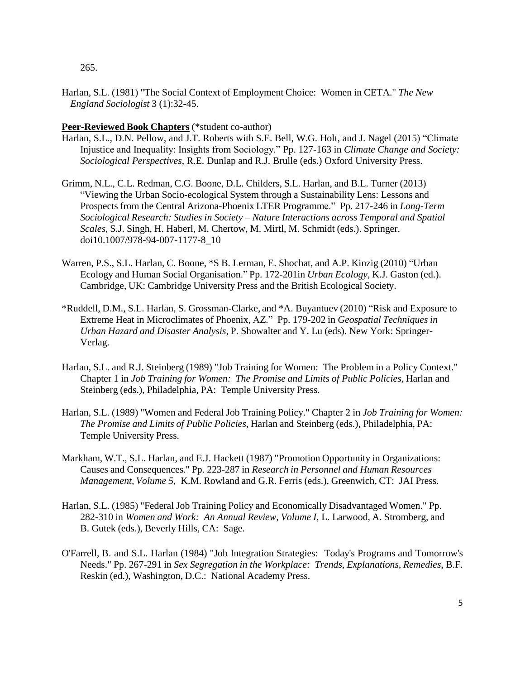265.

Harlan, S.L. (1981) "The Social Context of Employment Choice: Women in CETA." *The New England Sociologist* 3 (1):32-45.

## **Peer-Reviewed Book Chapters** (\*student co-author)

- Harlan, S.L., D.N. Pellow, and J.T. Roberts with S.E. Bell, W.G. Holt, and J. Nagel (2015) "Climate Injustice and Inequality: Insights from Sociology." Pp. 127-163 in *Climate Change and Society: Sociological Perspectives*, R.E. Dunlap and R.J. Brulle (eds.) Oxford University Press.
- Grimm, N.L., C.L. Redman, C.G. Boone, D.L. Childers, S.L. Harlan, and B.L. Turner (2013) "Viewing the Urban Socio-ecological System through a Sustainability Lens: Lessons and Prospects from the Central Arizona-Phoenix LTER Programme." Pp. 217-246 in *Long-Term Sociological Research: Studies in Society – Nature Interactions across Temporal and Spatial Scales*, S.J. Singh, H. Haberl, M. Chertow, M. Mirtl, M. Schmidt (eds.). Springer. doi10.1007/978-94-007-1177-8\_10
- Warren, P.S., S.L. Harlan, C. Boone, \*S B. Lerman, E. Shochat, and A.P. Kinzig (2010) "Urban Ecology and Human Social Organisation." Pp. 172-201in *Urban Ecology,* K.J. Gaston (ed.). Cambridge, UK: Cambridge University Press and the British Ecological Society.
- \*Ruddell, D.M., S.L. Harlan, S. Grossman-Clarke, and \*A. Buyantuev (2010) "Risk and Exposure to Extreme Heat in Microclimates of Phoenix, AZ." Pp. 179-202 in *Geospatial Techniques in Urban Hazard and Disaster Analysis*, P. Showalter and Y. Lu (eds). New York: Springer-Verlag.
- Harlan, S.L. and R.J. Steinberg (1989) "Job Training for Women: The Problem in a Policy Context." Chapter 1 in *Job Training for Women: The Promise and Limits of Public Policies*, Harlan and Steinberg (eds.), Philadelphia, PA: Temple University Press.
- Harlan, S.L. (1989) "Women and Federal Job Training Policy." Chapter 2 in *Job Training for Women: The Promise and Limits of Public Policies*, Harlan and Steinberg (eds.), Philadelphia, PA: Temple University Press.
- Markham, W.T., S.L. Harlan, and E.J. Hackett (1987) "Promotion Opportunity in Organizations: Causes and Consequences." Pp. 223-287 in *Research in Personnel and Human Resources Management, Volume 5,* K.M. Rowland and G.R. Ferris (eds.), Greenwich, CT: JAI Press.
- Harlan, S.L. (1985) "Federal Job Training Policy and Economically Disadvantaged Women." Pp. 282-310 in *Women and Work: An Annual Review, Volume I*, L. Larwood, A. Stromberg, and B. Gutek (eds.), Beverly Hills, CA: Sage.
- O'Farrell, B. and S.L. Harlan (1984) "Job Integration Strategies: Today's Programs and Tomorrow's Needs." Pp. 267-291 in *Sex Segregation in the Workplace: Trends, Explanations, Remedies*, B.F. Reskin (ed.), Washington, D.C.: National Academy Press.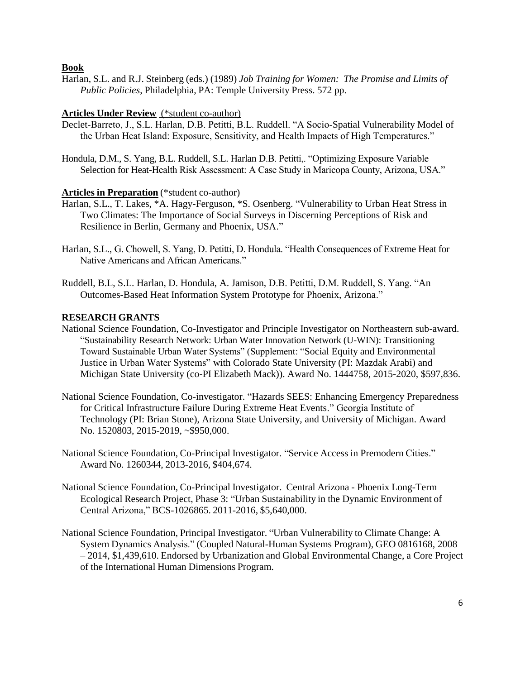**Book**

Harlan, S.L. and R.J. Steinberg (eds.) (1989) *Job Training for Women: The Promise and Limits of Public Policies*, Philadelphia, PA: Temple University Press. 572 pp.

# **Articles Under Review** (\*student co-author)

- Declet-Barreto, J., S.L. Harlan, D.B. Petitti, B.L. Ruddell. "A Socio-Spatial Vulnerability Model of the Urban Heat Island: Exposure, Sensitivity, and Health Impacts of High Temperatures."
- Hondula, D.M., S. Yang, B.L. Ruddell, S.L. Harlan D.B. Petitti,. "Optimizing Exposure Variable Selection for Heat-Health Risk Assessment: A Case Study in Maricopa County, Arizona, USA."

# **Articles in Preparation** (\*student co-author)

- Harlan, S.L., T. Lakes, \*A. Hagy-Ferguson, \*S. Osenberg. "Vulnerability to Urban Heat Stress in Two Climates: The Importance of Social Surveys in Discerning Perceptions of Risk and Resilience in Berlin, Germany and Phoenix, USA."
- Harlan, S.L., G. Chowell, S. Yang, D. Petitti, D. Hondula. "Health Consequences of Extreme Heat for Native Americans and African Americans."
- Ruddell, B.L, S.L. Harlan, D. Hondula, A. Jamison, D.B. Petitti, D.M. Ruddell, S. Yang. "An Outcomes-Based Heat Information System Prototype for Phoenix, Arizona."

## **RESEARCH GRANTS**

- National Science Foundation, Co-Investigator and Principle Investigator on Northeastern sub-award. "Sustainability Research Network: Urban Water Innovation Network (U-WIN): Transitioning Toward Sustainable Urban Water Systems" (Supplement: "Social Equity and Environmental Justice in Urban Water Systems" with Colorado State University (PI: Mazdak Arabi) and Michigan State University (co-PI Elizabeth Mack)). Award No. 1444758, 2015-2020, \$597,836.
- National Science Foundation, Co-investigator. "Hazards SEES: Enhancing Emergency Preparedness for Critical Infrastructure Failure During Extreme Heat Events." Georgia Institute of Technology (PI: Brian Stone), Arizona State University, and University of Michigan. Award No. 1520803, 2015-2019, ~\$950,000.
- National Science Foundation, Co-Principal Investigator. "Service Access in Premodern Cities." Award No. 1260344, 2013-2016, \$404,674.
- National Science Foundation, Co-Principal Investigator. Central Arizona Phoenix Long-Term Ecological Research Project, Phase 3: "Urban Sustainability in the Dynamic Environment of Central Arizona," BCS-1026865. 2011-2016, \$5,640,000.
- National Science Foundation, Principal Investigator. "Urban Vulnerability to Climate Change: A System Dynamics Analysis." (Coupled Natural-Human Systems Program), GEO 0816168, 2008 – 2014, \$1,439,610. Endorsed by Urbanization and Global Environmental Change, a Core Project of the International Human Dimensions Program.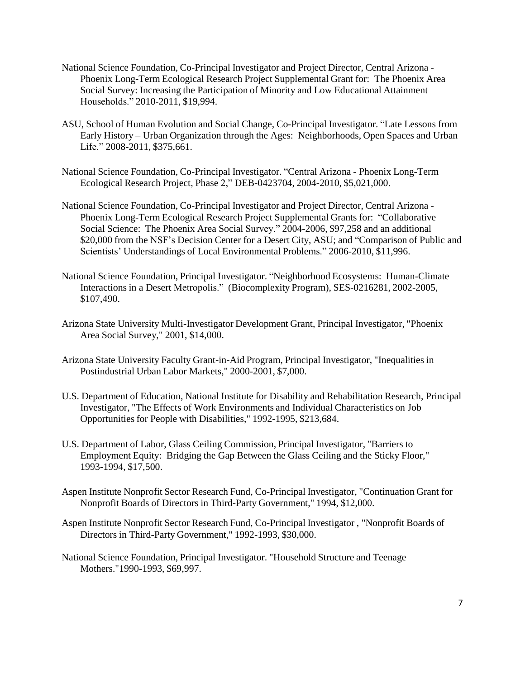- National Science Foundation, Co-Principal Investigator and Project Director, Central Arizona Phoenix Long-Term Ecological Research Project Supplemental Grant for: The Phoenix Area Social Survey: Increasing the Participation of Minority and Low Educational Attainment Households." 2010-2011, \$19,994.
- ASU, School of Human Evolution and Social Change, Co-Principal Investigator. "Late Lessons from Early History – Urban Organization through the Ages: Neighborhoods, Open Spaces and Urban Life." 2008-2011, \$375,661.
- National Science Foundation, Co-Principal Investigator. "Central Arizona Phoenix Long-Term Ecological Research Project, Phase 2," DEB-0423704, 2004-2010, \$5,021,000.
- National Science Foundation, Co-Principal Investigator and Project Director, Central Arizona Phoenix Long-Term Ecological Research Project Supplemental Grants for: "Collaborative Social Science: The Phoenix Area Social Survey." 2004-2006, \$97,258 and an additional \$20,000 from the NSF's Decision Center for a Desert City, ASU; and "Comparison of Public and Scientists' Understandings of Local Environmental Problems." 2006-2010, \$11,996.
- National Science Foundation, Principal Investigator. "Neighborhood Ecosystems: Human-Climate Interactions in a Desert Metropolis." (Biocomplexity Program), SES-0216281, 2002-2005, \$107,490.
- Arizona State University Multi-Investigator Development Grant, Principal Investigator, "Phoenix Area Social Survey," 2001, \$14,000.
- Arizona State University Faculty Grant-in-Aid Program, Principal Investigator, "Inequalities in Postindustrial Urban Labor Markets," 2000-2001, \$7,000.
- U.S. Department of Education, National Institute for Disability and Rehabilitation Research, Principal Investigator, "The Effects of Work Environments and Individual Characteristics on Job Opportunities for People with Disabilities," 1992-1995, \$213,684.
- U.S. Department of Labor, Glass Ceiling Commission, Principal Investigator, "Barriers to Employment Equity: Bridging the Gap Between the Glass Ceiling and the Sticky Floor," 1993-1994, \$17,500.
- Aspen Institute Nonprofit Sector Research Fund, Co-Principal Investigator, "Continuation Grant for Nonprofit Boards of Directors in Third-Party Government," 1994, \$12,000.
- Aspen Institute Nonprofit Sector Research Fund, Co-Principal Investigator , "Nonprofit Boards of Directors in Third-Party Government," 1992-1993, \$30,000.
- National Science Foundation, Principal Investigator. "Household Structure and Teenage Mothers."1990-1993, \$69,997.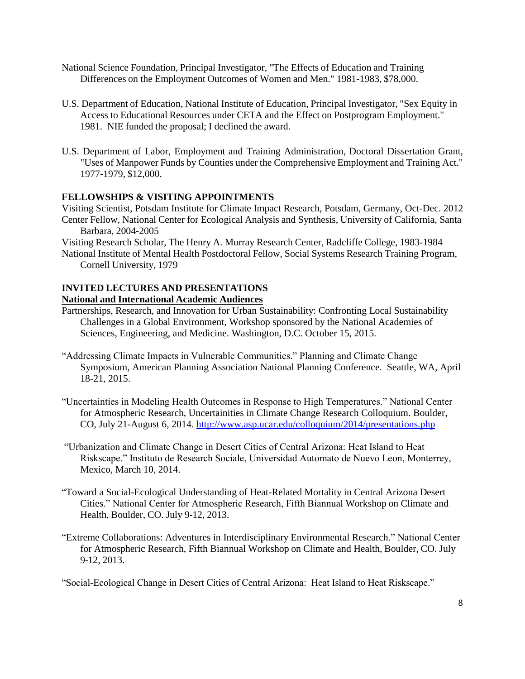- National Science Foundation, Principal Investigator, "The Effects of Education and Training Differences on the Employment Outcomes of Women and Men." 1981-1983, \$78,000.
- U.S. Department of Education, National Institute of Education, Principal Investigator, "Sex Equity in Access to Educational Resources under CETA and the Effect on Postprogram Employment." 1981. NIE funded the proposal; I declined the award.
- U.S. Department of Labor, Employment and Training Administration, Doctoral Dissertation Grant, "Uses of Manpower Funds by Counties under the Comprehensive Employment and Training Act." 1977-1979, \$12,000.

# **FELLOWSHIPS & VISITING APPOINTMENTS**

Visiting Scientist, Potsdam Institute for Climate Impact Research, Potsdam, Germany, Oct-Dec. 2012 Center Fellow, National Center for Ecological Analysis and Synthesis, University of California, Santa Barbara, 2004-2005

Visiting Research Scholar, The Henry A. Murray Research Center, Radcliffe College, 1983-1984 National Institute of Mental Health Postdoctoral Fellow, Social Systems Research Training Program,

Cornell University, 1979

# **INVITED LECTURES AND PRESENTATIONS National and International Academic Audiences**

- Partnerships, Research, and Innovation for Urban Sustainability: Confronting Local Sustainability Challenges in a Global Environment, Workshop sponsored by the National Academies of Sciences, Engineering, and Medicine. Washington, D.C. October 15, 2015.
- "Addressing Climate Impacts in Vulnerable Communities." Planning and Climate Change Symposium, American Planning Association National Planning Conference. Seattle, WA, April 18-21, 2015.
- "Uncertainties in Modeling Health Outcomes in Response to High Temperatures." National Center for Atmospheric Research, Uncertainities in Climate Change Research Colloquium. Boulder, CO, July 21-August 6, 2014. <http://www.asp.ucar.edu/colloquium/2014/presentations.php>
- "Urbanization and Climate Change in Desert Cities of Central Arizona: Heat Island to Heat Riskscape." Instituto de Research Sociale, Universidad Automato de Nuevo Leon, Monterrey, Mexico, March 10, 2014.
- "Toward a Social-Ecological Understanding of Heat-Related Mortality in Central Arizona Desert Cities." National Center for Atmospheric Research, Fifth Biannual Workshop on Climate and Health, Boulder, CO. July 9-12, 2013.
- "Extreme Collaborations: Adventures in Interdisciplinary Environmental Research." National Center for Atmospheric Research, Fifth Biannual Workshop on Climate and Health, Boulder, CO. July 9-12, 2013.

"Social-Ecological Change in Desert Cities of Central Arizona: Heat Island to Heat Riskscape."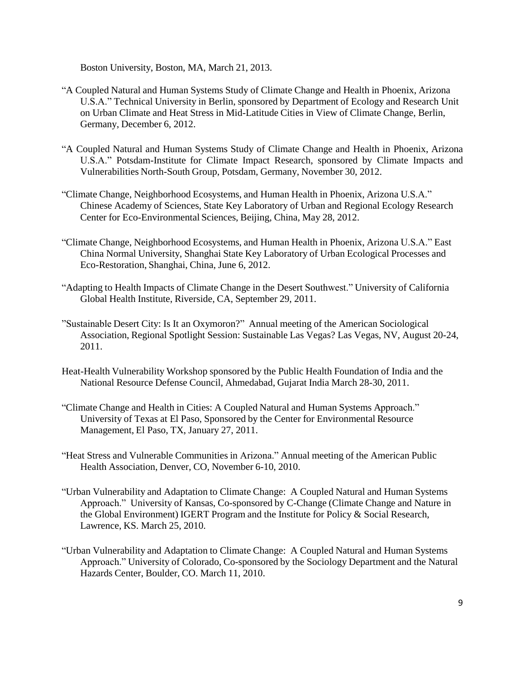Boston University, Boston, MA, March 21, 2013.

- "A Coupled Natural and Human Systems Study of Climate Change and Health in Phoenix, Arizona U.S.A." Technical University in Berlin, sponsored by Department of Ecology and Research Unit on Urban Climate and Heat Stress in Mid-Latitude Cities in View of Climate Change, Berlin, Germany, December 6, 2012.
- "A Coupled Natural and Human Systems Study of Climate Change and Health in Phoenix, Arizona U.S.A." Potsdam-Institute for Climate Impact Research, sponsored by Climate Impacts and Vulnerabilities North-South Group, Potsdam, Germany, November 30, 2012.
- "Climate Change, Neighborhood Ecosystems, and Human Health in Phoenix, Arizona U.S.A." Chinese Academy of Sciences, State Key Laboratory of Urban and Regional Ecology Research Center for Eco-Environmental Sciences, Beijing, China, May 28, 2012.
- "Climate Change, Neighborhood Ecosystems, and Human Health in Phoenix, Arizona U.S.A." East China Normal University, Shanghai State Key Laboratory of Urban Ecological Processes and Eco-Restoration, Shanghai, China, June 6, 2012.
- "Adapting to Health Impacts of Climate Change in the Desert Southwest." University of California Global Health Institute, Riverside, CA, September 29, 2011.
- "Sustainable Desert City: Is It an Oxymoron?" Annual meeting of the American Sociological Association, Regional Spotlight Session: Sustainable Las Vegas? Las Vegas, NV, August 20-24, 2011.
- Heat-Health Vulnerability Workshop sponsored by the Public Health Foundation of India and the National Resource Defense Council, Ahmedabad, Gujarat India March 28-30, 2011.
- "Climate Change and Health in Cities: A Coupled Natural and Human Systems Approach." University of Texas at El Paso, Sponsored by the Center for Environmental Resource Management, El Paso, TX, January 27, 2011.
- "Heat Stress and Vulnerable Communities in Arizona." Annual meeting of the American Public Health Association, Denver, CO, November 6-10, 2010.
- "Urban Vulnerability and Adaptation to Climate Change: A Coupled Natural and Human Systems Approach." University of Kansas, Co-sponsored by C-Change (Climate Change and Nature in the Global Environment) IGERT Program and the Institute for Policy & Social Research, Lawrence, KS. March 25, 2010.
- "Urban Vulnerability and Adaptation to Climate Change: A Coupled Natural and Human Systems Approach." University of Colorado, Co-sponsored by the Sociology Department and the Natural Hazards Center, Boulder, CO. March 11, 2010.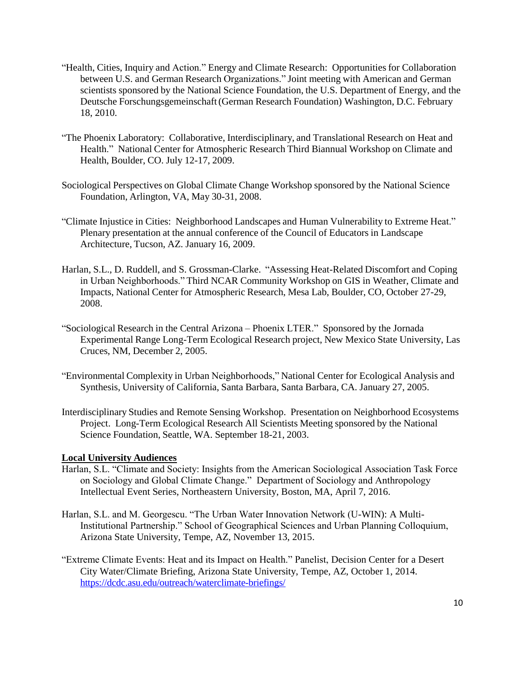- "Health, Cities, Inquiry and Action." Energy and Climate Research: Opportunities for Collaboration between U.S. and German Research Organizations." Joint meeting with American and German scientists sponsored by the National Science Foundation, the U.S. Department of Energy, and the Deutsche Forschungsgemeinschaft(German Research Foundation) Washington, D.C. February 18, 2010.
- "The Phoenix Laboratory: Collaborative, Interdisciplinary, and Translational Research on Heat and Health." National Center for Atmospheric Research Third Biannual Workshop on Climate and Health, Boulder, CO. July 12-17, 2009.
- Sociological Perspectives on Global Climate Change Workshop sponsored by the National Science Foundation, Arlington, VA, May 30-31, 2008.
- "Climate Injustice in Cities: Neighborhood Landscapes and Human Vulnerability to Extreme Heat." Plenary presentation at the annual conference of the Council of Educators in Landscape Architecture, Tucson, AZ. January 16, 2009.
- Harlan, S.L., D. Ruddell, and S. Grossman-Clarke. "Assessing Heat-Related Discomfort and Coping in Urban Neighborhoods." Third NCAR Community Workshop on GIS in Weather, Climate and Impacts, National Center for Atmospheric Research, Mesa Lab, Boulder, CO, October 27-29, 2008.
- "Sociological Research in the Central Arizona Phoenix LTER." Sponsored by the Jornada Experimental Range Long-Term Ecological Research project, New Mexico State University, Las Cruces, NM, December 2, 2005.
- "Environmental Complexity in Urban Neighborhoods," National Center for Ecological Analysis and Synthesis, University of California, Santa Barbara, Santa Barbara, CA. January 27, 2005.
- Interdisciplinary Studies and Remote Sensing Workshop. Presentation on Neighborhood Ecosystems Project. Long-Term Ecological Research All Scientists Meeting sponsored by the National Science Foundation, Seattle, WA. September 18-21, 2003.

# **Local University Audiences**

- Harlan, S.L. "Climate and Society: Insights from the American Sociological Association Task Force on Sociology and Global Climate Change." Department of Sociology and Anthropology Intellectual Event Series, Northeastern University, Boston, MA, April 7, 2016.
- Harlan, S.L. and M. Georgescu. "The Urban Water Innovation Network (U-WIN): A Multi-Institutional Partnership." School of Geographical Sciences and Urban Planning Colloquium, Arizona State University, Tempe, AZ, November 13, 2015.
- "Extreme Climate Events: Heat and its Impact on Health." Panelist, Decision Center for a Desert City Water/Climate Briefing, Arizona State University, Tempe, AZ, October 1, 2014. <https://dcdc.asu.edu/outreach/waterclimate-briefings/>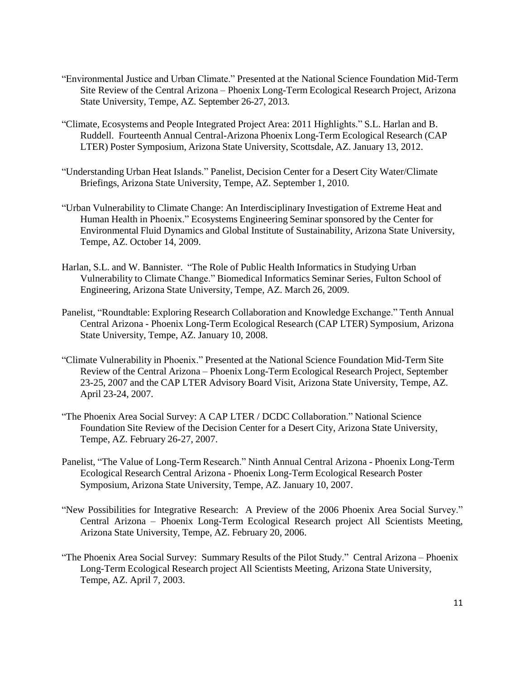- "Environmental Justice and Urban Climate." Presented at the National Science Foundation Mid-Term Site Review of the Central Arizona – Phoenix Long-Term Ecological Research Project, Arizona State University, Tempe, AZ. September 26-27, 2013.
- "Climate, Ecosystems and People Integrated Project Area: 2011 Highlights." S.L. Harlan and B. Ruddell. Fourteenth Annual Central-Arizona Phoenix Long-Term Ecological Research (CAP LTER) Poster Symposium, Arizona State University, Scottsdale, AZ. January 13, 2012.
- "Understanding Urban Heat Islands." Panelist, Decision Center for a Desert City Water/Climate Briefings, Arizona State University, Tempe, AZ. September 1, 2010.
- "Urban Vulnerability to Climate Change: An Interdisciplinary Investigation of Extreme Heat and Human Health in Phoenix." Ecosystems Engineering Seminar sponsored by the Center for Environmental Fluid Dynamics and Global Institute of Sustainability, Arizona State University, Tempe, AZ. October 14, 2009.
- Harlan, S.L. and W. Bannister. "The Role of Public Health Informatics in Studying Urban Vulnerability to Climate Change." Biomedical Informatics Seminar Series, Fulton School of Engineering, Arizona State University, Tempe, AZ. March 26, 2009.
- Panelist, "Roundtable: Exploring Research Collaboration and Knowledge Exchange." Tenth Annual Central Arizona - Phoenix Long-Term Ecological Research (CAP LTER) Symposium, Arizona State University, Tempe, AZ. January 10, 2008.
- "Climate Vulnerability in Phoenix." Presented at the National Science Foundation Mid-Term Site Review of the Central Arizona – Phoenix Long-Term Ecological Research Project, September 23-25, 2007 and the CAP LTER Advisory Board Visit, Arizona State University, Tempe, AZ. April 23-24, 2007.
- "The Phoenix Area Social Survey: A CAP LTER / DCDC Collaboration." National Science Foundation Site Review of the Decision Center for a Desert City, Arizona State University, Tempe, AZ. February 26-27, 2007.
- Panelist, "The Value of Long-Term Research." Ninth Annual Central Arizona Phoenix Long-Term Ecological Research Central Arizona - Phoenix Long-Term Ecological Research Poster Symposium, Arizona State University, Tempe, AZ. January 10, 2007.
- "New Possibilities for Integrative Research: A Preview of the 2006 Phoenix Area Social Survey." Central Arizona – Phoenix Long-Term Ecological Research project All Scientists Meeting, Arizona State University, Tempe, AZ. February 20, 2006.
- "The Phoenix Area Social Survey: Summary Results of the Pilot Study." Central Arizona Phoenix Long-Term Ecological Research project All Scientists Meeting, Arizona State University, Tempe, AZ. April 7, 2003.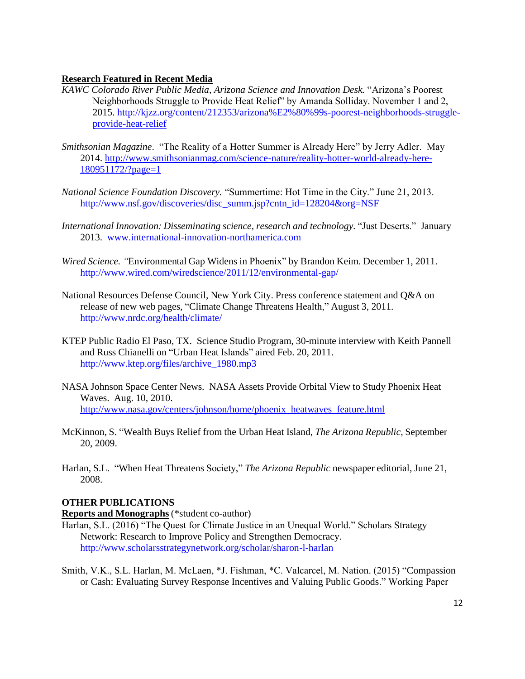## **Research Featured in Recent Media**

- *KAWC Colorado River Public Media, Arizona Science and Innovation Desk.* "Arizona's Poorest Neighborhoods Struggle to Provide Heat Relief" by Amanda Solliday. November 1 and 2, 2015. [http://kjzz.org/content/212353/arizona%E2%80%99s-poorest-neighborhoods-struggle](http://kjzz.org/content/212353/arizona%E2%80%99s-poorest-neighborhoods-struggle-provide-heat-relief)[provide-heat-relief](http://kjzz.org/content/212353/arizona%E2%80%99s-poorest-neighborhoods-struggle-provide-heat-relief)
- *Smithsonian Magazine*. "The Reality of a Hotter Summer is Already Here" by Jerry Adler. May 2014. [http://www.smithsonianmag.com/science-nature/reality-hotter-world-already-here-](http://www.smithsonianmag.com/science-nature/reality-hotter-world-already-here-180951172/?page=1)[180951172/?page=1](http://www.smithsonianmag.com/science-nature/reality-hotter-world-already-here-180951172/?page=1)
- *National Science Foundation Discovery.* "Summertime: Hot Time in the City." June 21, 2013. [http://www.nsf.gov/discoveries/disc\\_summ.jsp?cntn\\_id=128204&org=NSF](http://www.nsf.gov/discoveries/disc_summ.jsp?cntn_id=128204&org=NSF)
- *International Innovation: Disseminating science, research and technology.* "Just Deserts." January 2013. [www.international-innovation-northamerica.com](http://www.international-innovation-northamerica.com/)
- *Wired Science. "*Environmental Gap Widens in Phoenix" by Brandon Keim. December 1, 2011. <http://www.wired.com/wiredscience/2011/12/environmental-gap/>
- National Resources Defense Council, New York City. Press conference statement and Q&A on release of new web pages, "Climate Change Threatens Health," August 3, 2011. <http://www.nrdc.org/health/climate/>
- KTEP Public Radio El Paso, TX. Science Studio Program, 30-minute interview with Keith Pannell and Russ Chianelli on "Urban Heat Islands" aired Feb. 20, 2011. [http://www.ktep.org/files/archive\\_1980.mp3](http://www.ktep.org/files/archive_1980.mp3)
- NASA Johnson Space Center News. NASA Assets Provide Orbital View to Study Phoenix Heat Waves. Aug. 10, 2010. [http://www.nasa.gov/centers/johnson/home/phoenix\\_heatwaves\\_feature.html](http://www.nasa.gov/centers/johnson/home/phoenix_heatwaves_feature.html)
- McKinnon, S. "Wealth Buys Relief from the Urban Heat Island, *The Arizona Republic*, September 20, 2009.
- Harlan, S.L. "When Heat Threatens Society," *The Arizona Republic* newspaper editorial, June 21, 2008.

## **OTHER PUBLICATIONS**

## **Reports and Monographs** (\*student co-author)

- Harlan, S.L. (2016) "The Quest for Climate Justice in an Unequal World." Scholars Strategy Network: Research to Improve Policy and Strengthen Democracy. <http://www.scholarsstrategynetwork.org/scholar/sharon-l-harlan>
- Smith, V.K., S.L. Harlan, M. McLaen, \*J. Fishman, \*C. Valcarcel, M. Nation. (2015) "Compassion or Cash: Evaluating Survey Response Incentives and Valuing Public Goods." Working Paper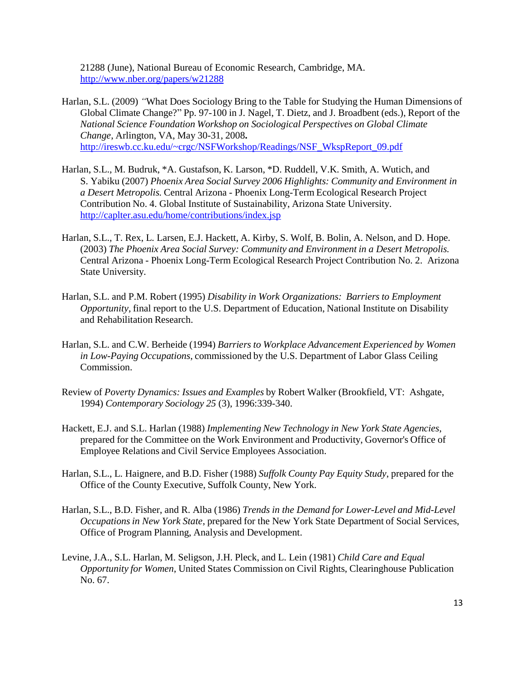21288 (June), National Bureau of Economic Research, Cambridge, MA. <http://www.nber.org/papers/w21288>

- Harlan, S.L. (2009) *"*What Does Sociology Bring to the Table for Studying the Human Dimensions of Global Climate Change?" Pp. 97-100 in J. Nagel, T. Dietz, and J. Broadbent (eds.), Report of the *National Science Foundation Workshop on Sociological Perspectives on Global Climate Change*, Arlington, VA, May 30-31, 2008**.**  [http://ireswb.cc.ku.edu/~crgc/NSFWorkshop/Readings/NSF\\_WkspReport\\_09.pdf](http://ireswb.cc.ku.edu/~crgc/NSFWorkshop/Readings/NSF_WkspReport_09.pdf)
- Harlan, S.L., M. Budruk, \*A. Gustafson, K. Larson, \*D. Ruddell, V.K. Smith, A. Wutich, and S. Yabiku (2007) *Phoenix Area Social Survey 2006 Highlights: Community and Environment in a Desert Metropolis.* Central Arizona - Phoenix Long-Term Ecological Research Project Contribution No. 4. Global Institute of Sustainability, Arizona State University. <http://caplter.asu.edu/home/contributions/index.jsp>
- Harlan, S.L., T. Rex, L. Larsen, E.J. Hackett, A. Kirby, S. Wolf, B. Bolin, A. Nelson, and D. Hope. (2003) *The Phoenix Area Social Survey: Community and Environment in a Desert Metropolis.* Central Arizona - Phoenix Long-Term Ecological Research Project Contribution No. 2. Arizona State University.
- Harlan, S.L. and P.M. Robert (1995) *Disability in Work Organizations: Barriers to Employment Opportunity*, final report to the U.S. Department of Education, National Institute on Disability and Rehabilitation Research.
- Harlan, S.L. and C.W. Berheide (1994) *Barriers to Workplace Advancement Experienced by Women in Low-Paying Occupations*, commissioned by the U.S. Department of Labor Glass Ceiling Commission.
- Review of *Poverty Dynamics: Issues and Examples* by Robert Walker (Brookfield, VT: Ashgate, 1994) *Contemporary Sociology 25* (3), 1996:339-340.
- Hackett, E.J. and S.L. Harlan (1988) *Implementing New Technology in New York State Agencies*, prepared for the Committee on the Work Environment and Productivity, Governor's Office of Employee Relations and Civil Service Employees Association.
- Harlan, S.L., L. Haignere, and B.D. Fisher (1988) *Suffolk County Pay Equity Study*, prepared for the Office of the County Executive, Suffolk County, New York.
- Harlan, S.L., B.D. Fisher, and R. Alba (1986) *Trends in the Demand for Lower-Level and Mid-Level Occupations in New York State*, prepared for the New York State Department of Social Services, Office of Program Planning, Analysis and Development.
- Levine, J.A., S.L. Harlan, M. Seligson, J.H. Pleck, and L. Lein (1981) *Child Care and Equal Opportunity for Women*, United States Commission on Civil Rights, Clearinghouse Publication No. 67.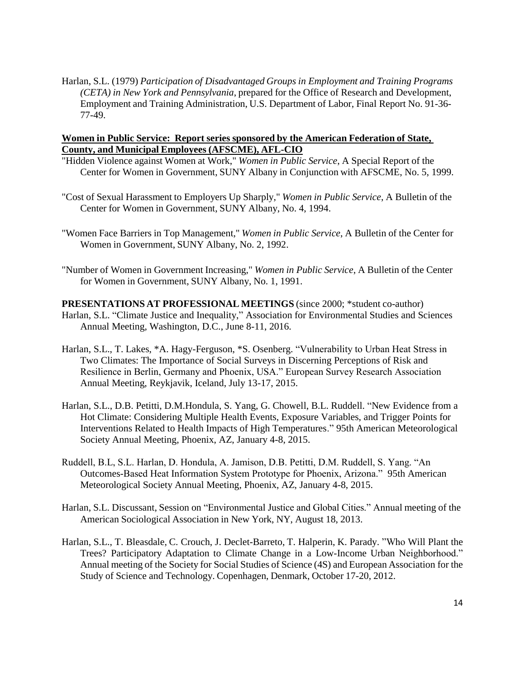Harlan, S.L. (1979) *Participation of Disadvantaged Groups in Employment and Training Programs (CETA) in New York and Pennsylvania*, prepared for the Office of Research and Development, Employment and Training Administration, U.S. Department of Labor, Final Report No. 91-36- 77-49.

## **Women in Public Service: Report series sponsored by the American Federation of State, County, and Municipal Employees (AFSCME), AFL-CIO**

- "Hidden Violence against Women at Work," *Women in Public Service*, A Special Report of the Center for Women in Government, SUNY Albany in Conjunction with AFSCME, No. 5, 1999.
- "Cost of Sexual Harassment to Employers Up Sharply," *Women in Public Service*, A Bulletin of the Center for Women in Government, SUNY Albany, No. 4, 1994.
- "Women Face Barriers in Top Management," *Women in Public Service*, A Bulletin of the Center for Women in Government, SUNY Albany, No. 2, 1992.
- "Number of Women in Government Increasing," *Women in Public Service*, A Bulletin of the Center for Women in Government, SUNY Albany, No. 1, 1991.
- **PRESENTATIONS AT PROFESSIONAL MEETINGS** (since 2000; \*student co-author) Harlan, S.L. "Climate Justice and Inequality," Association for Environmental Studies and Sciences Annual Meeting, Washington, D.C., June 8-11, 2016.
- Harlan, S.L., T. Lakes, \*A. Hagy-Ferguson, \*S. Osenberg. "Vulnerability to Urban Heat Stress in Two Climates: The Importance of Social Surveys in Discerning Perceptions of Risk and Resilience in Berlin, Germany and Phoenix, USA." European Survey Research Association Annual Meeting, Reykjavik, Iceland, July 13-17, 2015.
- Harlan, S.L., D.B. Petitti, D.M.Hondula, S. Yang, G. Chowell, B.L. Ruddell. "New Evidence from a Hot Climate: Considering Multiple Health Events, Exposure Variables, and Trigger Points for Interventions Related to Health Impacts of High Temperatures." 95th American Meteorological Society Annual Meeting, Phoenix, AZ, January 4-8, 2015.
- Ruddell, B.L, S.L. Harlan, D. Hondula, A. Jamison, D.B. Petitti, D.M. Ruddell, S. Yang. "An Outcomes-Based Heat Information System Prototype for Phoenix, Arizona." 95th American Meteorological Society Annual Meeting, Phoenix, AZ, January 4-8, 2015.
- Harlan, S.L. Discussant, Session on "Environmental Justice and Global Cities." Annual meeting of the American Sociological Association in New York, NY, August 18, 2013.
- Harlan, S.L., T. Bleasdale, C. Crouch, J. Declet-Barreto, T. Halperin, K. Parady. "Who Will Plant the Trees? Participatory Adaptation to Climate Change in a Low-Income Urban Neighborhood." Annual meeting of the Society for Social Studies of Science (4S) and European Association for the Study of Science and Technology. Copenhagen, Denmark, October 17-20, 2012.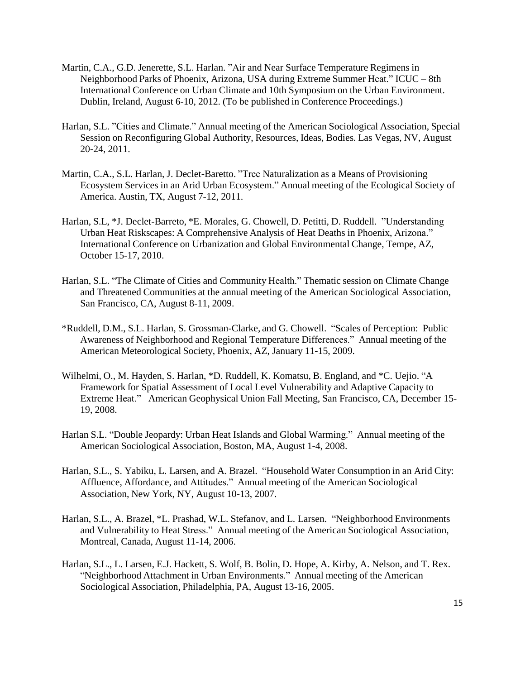- Martin, C.A., G.D. Jenerette, S.L. Harlan. "Air and Near Surface Temperature Regimens in Neighborhood Parks of Phoenix, Arizona, USA during Extreme Summer Heat." ICUC – 8th International Conference on Urban Climate and 10th Symposium on the Urban Environment. Dublin, Ireland, August 6-10, 2012. (To be published in Conference Proceedings.)
- Harlan, S.L. "Cities and Climate." Annual meeting of the American Sociological Association, Special Session on Reconfiguring Global Authority, Resources, Ideas, Bodies. Las Vegas, NV, August 20-24, 2011.
- Martin, C.A., S.L. Harlan, J. Declet-Baretto. "Tree Naturalization as a Means of Provisioning Ecosystem Services in an Arid Urban Ecosystem." Annual meeting of the Ecological Society of America. Austin, TX, August 7-12, 2011.
- Harlan, S.L, \*J. Declet-Barreto, \*E. Morales, G. Chowell, D. Petitti, D. Ruddell. "Understanding Urban Heat Riskscapes: A Comprehensive Analysis of Heat Deaths in Phoenix, Arizona." International Conference on Urbanization and Global Environmental Change, Tempe, AZ, October 15-17, 2010.
- Harlan, S.L. "The Climate of Cities and Community Health." Thematic session on Climate Change and Threatened Communities at the annual meeting of the American Sociological Association, San Francisco, CA, August 8-11, 2009.
- \*Ruddell, D.M., S.L. Harlan, S. Grossman-Clarke, and G. Chowell. "Scales of Perception: Public Awareness of Neighborhood and Regional Temperature Differences." Annual meeting of the American Meteorological Society, Phoenix, AZ, January 11-15, 2009.
- Wilhelmi, O., M. Hayden, S. Harlan, \*D. Ruddell, K. Komatsu, B. England, and \*C. Uejio. "A Framework for Spatial Assessment of Local Level Vulnerability and Adaptive Capacity to Extreme Heat." American Geophysical Union Fall Meeting, San Francisco, CA, December 15- 19, 2008.
- Harlan S.L. "Double Jeopardy: Urban Heat Islands and Global Warming." Annual meeting of the American Sociological Association, Boston, MA, August 1-4, 2008.
- Harlan, S.L., S. Yabiku, L. Larsen, and A. Brazel. "Household Water Consumption in an Arid City: Affluence, Affordance, and Attitudes." Annual meeting of the American Sociological Association, New York, NY, August 10-13, 2007.
- Harlan, S.L., A. Brazel, \*L. Prashad, W.L. Stefanov, and L. Larsen. "Neighborhood Environments and Vulnerability to Heat Stress." Annual meeting of the American Sociological Association, Montreal, Canada, August 11-14, 2006.
- Harlan, S.L., L. Larsen, E.J. Hackett, S. Wolf, B. Bolin, D. Hope, A. Kirby, A. Nelson, and T. Rex. "Neighborhood Attachment in Urban Environments." Annual meeting of the American Sociological Association, Philadelphia, PA, August 13-16, 2005.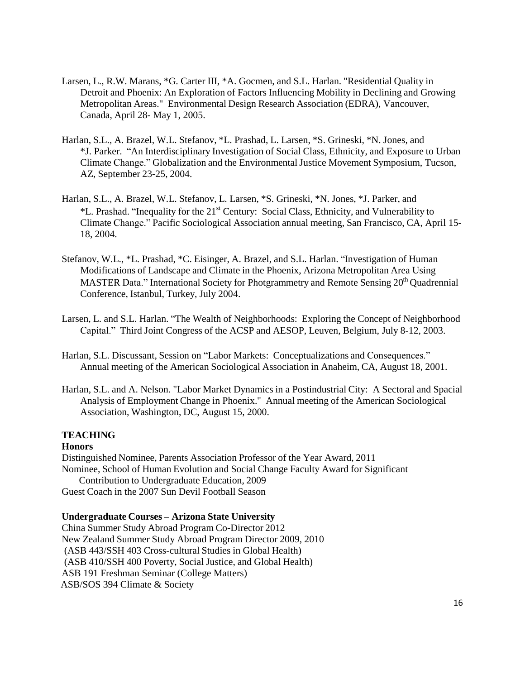- Larsen, L., R.W. Marans, \*G. Carter III, \*A. Gocmen, and S.L. Harlan. "Residential Quality in Detroit and Phoenix: An Exploration of Factors Influencing Mobility in Declining and Growing Metropolitan Areas." Environmental Design Research Association (EDRA), Vancouver, Canada, April 28- May 1, 2005.
- Harlan, S.L., A. Brazel, W.L. Stefanov, \*L. Prashad, L. Larsen, \*S. Grineski, \*N. Jones, and \*J. Parker. "An Interdisciplinary Investigation of Social Class, Ethnicity, and Exposure to Urban Climate Change." Globalization and the Environmental Justice Movement Symposium, Tucson, AZ, September 23-25, 2004.
- Harlan, S.L., A. Brazel, W.L. Stefanov, L. Larsen, \*S. Grineski, \*N. Jones, \*J. Parker, and \*L. Prashad. "Inequality for the 21st Century: Social Class, Ethnicity, and Vulnerability to Climate Change." Pacific Sociological Association annual meeting, San Francisco, CA, April 15- 18, 2004.
- Stefanov, W.L., \*L. Prashad, \*C. Eisinger, A. Brazel, and S.L. Harlan. "Investigation of Human Modifications of Landscape and Climate in the Phoenix, Arizona Metropolitan Area Using MASTER Data." International Society for Photgrammetry and Remote Sensing 20<sup>th</sup> Quadrennial Conference, Istanbul, Turkey, July 2004.
- Larsen, L. and S.L. Harlan. "The Wealth of Neighborhoods: Exploring the Concept of Neighborhood Capital." Third Joint Congress of the ACSP and AESOP, Leuven, Belgium, July 8-12, 2003.
- Harlan, S.L. Discussant, Session on "Labor Markets: Conceptualizations and Consequences." Annual meeting of the American Sociological Association in Anaheim, CA, August 18, 2001.
- Harlan, S.L. and A. Nelson. "Labor Market Dynamics in a Postindustrial City: A Sectoral and Spacial Analysis of Employment Change in Phoenix." Annual meeting of the American Sociological Association, Washington, DC, August 15, 2000.

# **TEACHING**

## **Honors**

Distinguished Nominee, Parents Association Professor of the Year Award, 2011 Nominee, School of Human Evolution and Social Change Faculty Award for Significant Contribution to Undergraduate Education, 2009 Guest Coach in the 2007 Sun Devil Football Season

## **Undergraduate Courses – Arizona State University**

China Summer Study Abroad Program Co-Director 2012 New Zealand Summer Study Abroad Program Director 2009, 2010 (ASB 443/SSH 403 Cross-cultural Studies in Global Health) (ASB 410/SSH 400 Poverty, Social Justice, and Global Health) ASB 191 Freshman Seminar (College Matters) ASB/SOS 394 Climate & Society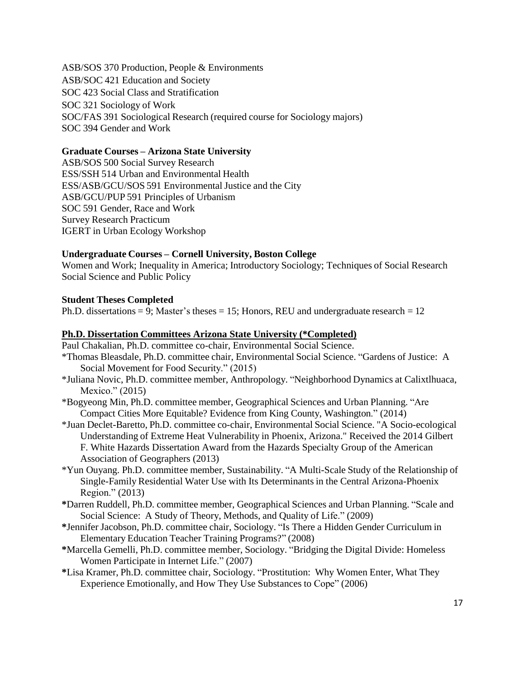ASB/SOS 370 Production, People & Environments ASB/SOC 421 Education and Society SOC 423 Social Class and Stratification SOC 321 Sociology of Work SOC/FAS 391 Sociological Research (required course for Sociology majors) SOC 394 Gender and Work

## **Graduate Courses – Arizona State University**

ASB/SOS 500 Social Survey Research ESS/SSH 514 Urban and Environmental Health ESS/ASB/GCU/SOS 591 Environmental Justice and the City ASB/GCU/PUP 591 Principles of Urbanism SOC 591 Gender, Race and Work Survey Research Practicum IGERT in Urban Ecology Workshop

# **Undergraduate Courses – Cornell University, Boston College**

Women and Work; Inequality in America; Introductory Sociology; Techniques of Social Research Social Science and Public Policy

## **Student Theses Completed**

Ph.D. dissertations = 9; Master's theses = 15; Honors, REU and undergraduate research =  $12$ 

## **Ph.D. Dissertation Committees Arizona State University (\*Completed)**

- Paul Chakalian, Ph.D. committee co-chair, Environmental Social Science.
- \*Thomas Bleasdale, Ph.D. committee chair, Environmental Social Science. "Gardens of Justice: A Social Movement for Food Security." (2015)
- \*Juliana Novic, Ph.D. committee member, Anthropology. "Neighborhood Dynamics at Calixtlhuaca, Mexico." (2015)
- \*Bogyeong Min, Ph.D. committee member, Geographical Sciences and Urban Planning. "Are Compact Cities More Equitable? Evidence from King County, Washington." (2014)
- \*Juan Declet-Baretto, Ph.D. committee co-chair, Environmental Social Science. "A Socio-ecological Understanding of Extreme Heat Vulnerability in Phoenix, Arizona." Received the 2014 Gilbert F. White Hazards Dissertation Award from the Hazards Specialty Group of the American Association of Geographers (2013)
- \*Yun Ouyang. Ph.D. committee member, Sustainability. "A Multi-Scale Study of the Relationship of Single-Family Residential Water Use with Its Determinants in the Central Arizona-Phoenix Region." (2013)
- **\***Darren Ruddell, Ph.D. committee member, Geographical Sciences and Urban Planning. "Scale and Social Science: A Study of Theory, Methods, and Quality of Life." (2009)
- **\***Jennifer Jacobson, Ph.D. committee chair, Sociology. "Is There a Hidden Gender Curriculum in Elementary Education Teacher Training Programs?" (2008)
- **\***Marcella Gemelli, Ph.D. committee member, Sociology. "Bridging the Digital Divide: Homeless Women Participate in Internet Life." (2007)
- **\***Lisa Kramer, Ph.D. committee chair, Sociology. "Prostitution: Why Women Enter, What They Experience Emotionally, and How They Use Substances to Cope" (2006)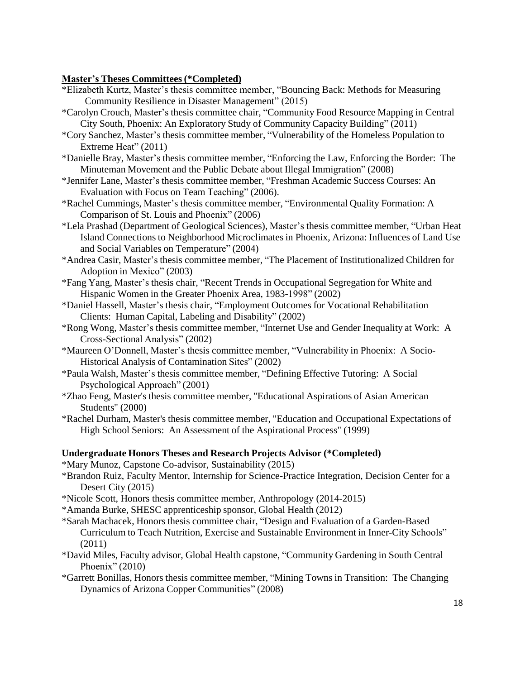## **Master's Theses Committees (\*Completed)**

- \*Elizabeth Kurtz, Master's thesis committee member, "Bouncing Back: Methods for Measuring Community Resilience in Disaster Management" (2015)
- \*Carolyn Crouch, Master's thesis committee chair, "Community Food Resource Mapping in Central City South, Phoenix: An Exploratory Study of Community Capacity Building" (2011)
- \*Cory Sanchez, Master's thesis committee member, "Vulnerability of the Homeless Population to Extreme Heat" (2011)
- \*Danielle Bray, Master's thesis committee member, "Enforcing the Law, Enforcing the Border: The Minuteman Movement and the Public Debate about Illegal Immigration" (2008)
- \*Jennifer Lane, Master's thesis committee member, "Freshman Academic Success Courses: An Evaluation with Focus on Team Teaching" (2006).
- \*Rachel Cummings, Master's thesis committee member, "Environmental Quality Formation: A Comparison of St. Louis and Phoenix" (2006)
- \*Lela Prashad (Department of Geological Sciences), Master's thesis committee member, "Urban Heat Island Connections to Neighborhood Microclimatesin Phoenix, Arizona: Influences of Land Use and Social Variables on Temperature" (2004)
- \*Andrea Casir, Master's thesis committee member, "The Placement of Institutionalized Children for Adoption in Mexico" (2003)
- \*Fang Yang, Master's thesis chair, "Recent Trends in Occupational Segregation for White and Hispanic Women in the Greater Phoenix Area, 1983-1998" (2002)
- \*Daniel Hassell, Master's thesis chair, "Employment Outcomes for Vocational Rehabilitation Clients: Human Capital, Labeling and Disability" (2002)
- \*Rong Wong, Master's thesis committee member, "Internet Use and Gender Inequality at Work: A Cross-Sectional Analysis" (2002)
- \*Maureen O'Donnell, Master's thesis committee member, "Vulnerability in Phoenix: A Socio-Historical Analysis of Contamination Sites" (2002)
- \*Paula Walsh, Master's thesis committee member, "Defining Effective Tutoring: A Social Psychological Approach" (2001)
- \*Zhao Feng, Master's thesis committee member, "Educational Aspirations of Asian American Students" (2000)
- \*Rachel Durham, Master's thesis committee member, "Education and Occupational Expectations of High School Seniors: An Assessment of the Aspirational Process" (1999)

#### **Undergraduate Honors Theses and Research Projects Advisor (\*Completed)**

\*Mary Munoz, Capstone Co-advisor, Sustainability (2015)

- \*Brandon Ruiz, Faculty Mentor, Internship for Science-Practice Integration, Decision Center for a Desert City (2015)
- \*Nicole Scott, Honors thesis committee member, Anthropology (2014-2015)
- \*Amanda Burke, SHESC apprenticeship sponsor, Global Health (2012)
- \*Sarah Machacek, Honors thesis committee chair, "Design and Evaluation of a Garden-Based Curriculum to Teach Nutrition, Exercise and Sustainable Environment in Inner-City Schools" (2011)
- \*David Miles, Faculty advisor, Global Health capstone, "Community Gardening in South Central Phoenix" (2010)
- \*Garrett Bonillas, Honors thesis committee member, "Mining Towns in Transition: The Changing Dynamics of Arizona Copper Communities" (2008)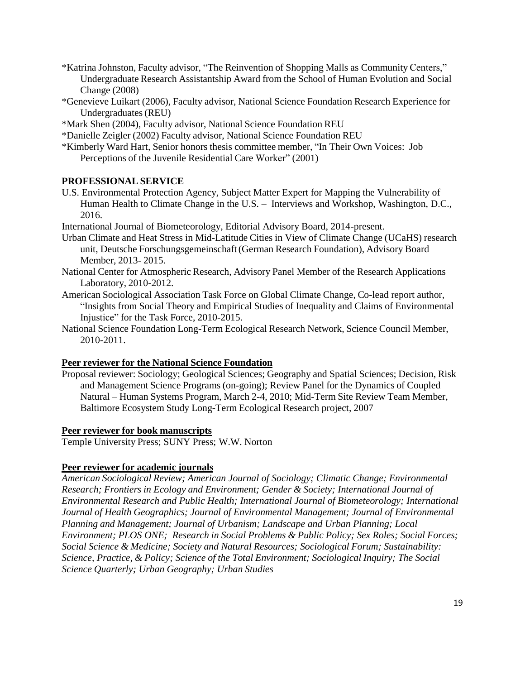- \*Katrina Johnston, Faculty advisor, "The Reinvention of Shopping Malls as Community Centers," Undergraduate Research Assistantship Award from the School of Human Evolution and Social Change (2008)
- \*Genevieve Luikart (2006), Faculty advisor, National Science Foundation Research Experience for Undergraduates(REU)
- \*Mark Shen (2004), Faculty advisor, National Science Foundation REU
- \*Danielle Zeigler (2002) Faculty advisor, National Science Foundation REU
- \*Kimberly Ward Hart, Senior honors thesis committee member, "In Their Own Voices: Job Perceptions of the Juvenile Residential Care Worker" (2001)

# **PROFESSIONAL SERVICE**

- U.S. Environmental Protection Agency, Subject Matter Expert for Mapping the Vulnerability of Human Health to Climate Change in the U.S. – Interviews and Workshop, Washington, D.C., 2016.
- International Journal of Biometeorology, Editorial Advisory Board, 2014-present.
- Urban Climate and Heat Stress in Mid-Latitude Cities in View of Climate Change (UCaHS) research unit, Deutsche Forschungsgemeinschaft(German Research Foundation), Advisory Board Member, 2013- 2015.
- National Center for Atmospheric Research, Advisory Panel Member of the Research Applications Laboratory, 2010-2012.
- American Sociological Association Task Force on Global Climate Change, Co-lead report author, "Insights from Social Theory and Empirical Studies of Inequality and Claims of Environmental Injustice" for the Task Force, 2010-2015.
- National Science Foundation Long-Term Ecological Research Network, Science Council Member, 2010-2011.

# **Peer reviewer for the National Science Foundation**

Proposal reviewer: Sociology; Geological Sciences; Geography and Spatial Sciences; Decision, Risk and Management Science Programs (on-going); Review Panel for the Dynamics of Coupled Natural – Human Systems Program, March 2-4, 2010; Mid-Term Site Review Team Member, Baltimore Ecosystem Study Long-Term Ecological Research project, 2007

## **Peer reviewer for book manuscripts**

Temple University Press; SUNY Press; W.W. Norton

# **Peer reviewer for academic journals**

*American Sociological Review; American Journal of Sociology; Climatic Change; Environmental Research; Frontiers in Ecology and Environment; Gender & Society; International Journal of Environmental Research and Public Health; International Journal of Biometeorology; International Journal of Health Geographics; Journal of Environmental Management; Journal of Environmental Planning and Management; Journal of Urbanism; Landscape and Urban Planning; Local Environment; PLOS ONE; Research in Social Problems & Public Policy; Sex Roles; Social Forces; Social Science & Medicine; Society and Natural Resources; Sociological Forum; Sustainability: Science, Practice, & Policy; Science of the Total Environment; Sociological Inquiry; The Social Science Quarterly; Urban Geography; Urban Studies*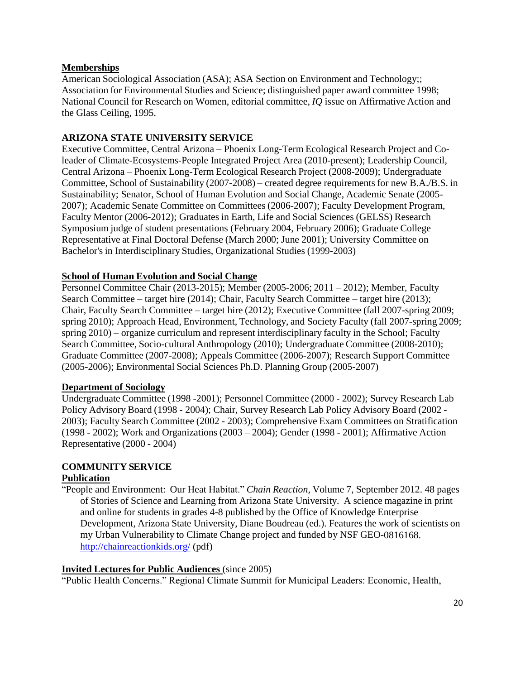# **Memberships**

American Sociological Association (ASA); ASA Section on Environment and Technology;; Association for Environmental Studies and Science; distinguished paper award committee 1998; National Council for Research on Women, editorial committee, *IQ* issue on Affirmative Action and the Glass Ceiling, 1995.

# **ARIZONA STATE UNIVERSITY SERVICE**

Executive Committee, Central Arizona – Phoenix Long-Term Ecological Research Project and Coleader of Climate-Ecosystems-People Integrated Project Area (2010-present); Leadership Council, Central Arizona – Phoenix Long-Term Ecological Research Project (2008-2009); Undergraduate Committee, School of Sustainability (2007-2008) – created degree requirements for new B.A./B.S. in Sustainability; Senator, School of Human Evolution and Social Change, Academic Senate (2005- 2007); Academic Senate Committee on Committees (2006-2007); Faculty Development Program, Faculty Mentor (2006-2012); Graduates in Earth, Life and Social Sciences (GELSS) Research Symposium judge of student presentations (February 2004, February 2006); Graduate College Representative at Final Doctoral Defense (March 2000; June 2001); University Committee on Bachelor's in Interdisciplinary Studies, Organizational Studies (1999-2003)

# **School of Human Evolution and Social Change**

Personnel Committee Chair (2013-2015); Member (2005-2006; 2011 – 2012); Member, Faculty Search Committee – target hire (2014); Chair, Faculty Search Committee – target hire (2013); Chair, Faculty Search Committee – target hire (2012); Executive Committee (fall 2007-spring 2009; spring 2010); Approach Head, Environment, Technology, and Society Faculty (fall 2007-spring 2009; spring 2010) – organize curriculum and represent interdisciplinary faculty in the School; Faculty Search Committee, Socio-cultural Anthropology (2010); Undergraduate Committee (2008-2010); Graduate Committee (2007-2008); Appeals Committee (2006-2007); Research Support Committee (2005-2006); Environmental Social Sciences Ph.D. Planning Group (2005-2007)

# **Department of Sociology**

Undergraduate Committee (1998 -2001); Personnel Committee (2000 - 2002); Survey Research Lab Policy Advisory Board (1998 - 2004); Chair, Survey Research Lab Policy Advisory Board (2002 - 2003); Faculty Search Committee (2002 - 2003); Comprehensive Exam Committees on Stratification (1998 - 2002); Work and Organizations (2003 – 2004); Gender (1998 - 2001); Affirmative Action Representative (2000 - 2004)

# **COMMUNITY SERVICE**

# **Publication**

"People and Environment: Our Heat Habitat." *Chain Reaction,* Volume 7, September 2012. 48 pages of Stories of Science and Learning from Arizona State University. A science magazine in print and online for students in grades 4-8 published by the Office of Knowledge Enterprise Development, Arizona State University, Diane Boudreau (ed.). Features the work of scientists on my Urban Vulnerability to Climate Change project and funded by NSF GEO-0816168. <http://chainreactionkids.org/> (pdf)

## **Invited Lectures for Public Audiences** (since 2005)

"Public Health Concerns." Regional Climate Summit for Municipal Leaders: Economic, Health,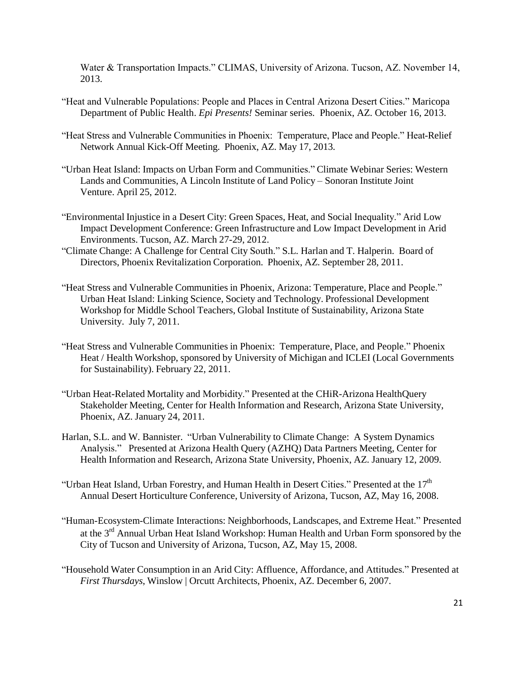Water & Transportation Impacts." CLIMAS, University of Arizona. Tucson, AZ. November 14, 2013.

- "Heat and Vulnerable Populations: People and Places in Central Arizona Desert Cities." Maricopa Department of Public Health. *Epi Presents!* Seminar series. Phoenix, AZ. October 16, 2013.
- "Heat Stress and Vulnerable Communities in Phoenix: Temperature, Place and People." Heat-Relief Network Annual Kick-Off Meeting. Phoenix, AZ. May 17, 2013.
- "Urban Heat Island: Impacts on Urban Form and Communities." Climate Webinar Series: Western Lands and Communities, A Lincoln Institute of Land Policy – Sonoran Institute Joint Venture. April 25, 2012.
- "Environmental Injustice in a Desert City: Green Spaces, Heat, and Social Inequality." Arid Low Impact Development Conference: Green Infrastructure and Low Impact Development in Arid Environments. Tucson, AZ. March 27-29, 2012.
- "Climate Change: A Challenge for Central City South." S.L. Harlan and T. Halperin. Board of Directors, Phoenix Revitalization Corporation. Phoenix, AZ. September 28, 2011.
- "Heat Stress and Vulnerable Communities in Phoenix, Arizona: Temperature, Place and People." Urban Heat Island: Linking Science, Society and Technology. Professional Development Workshop for Middle School Teachers, Global Institute of Sustainability, Arizona State University. July 7, 2011.
- "Heat Stress and Vulnerable Communities in Phoenix: Temperature, Place, and People." Phoenix Heat / Health Workshop, sponsored by University of Michigan and ICLEI (Local Governments for Sustainability). February 22, 2011.
- "Urban Heat-Related Mortality and Morbidity." Presented at the CHiR-Arizona HealthQuery Stakeholder Meeting, Center for Health Information and Research, Arizona State University, Phoenix, AZ. January 24, 2011.
- Harlan, S.L. and W. Bannister. "Urban Vulnerability to Climate Change: A System Dynamics Analysis." Presented at Arizona Health Query (AZHQ) Data Partners Meeting, Center for Health Information and Research, Arizona State University, Phoenix, AZ. January 12, 2009.
- "Urban Heat Island, Urban Forestry, and Human Health in Desert Cities." Presented at the  $17<sup>th</sup>$ Annual Desert Horticulture Conference, University of Arizona, Tucson, AZ, May 16, 2008.
- "Human-Ecosystem-Climate Interactions: Neighborhoods, Landscapes, and Extreme Heat." Presented at the 3<sup>rd</sup> Annual Urban Heat Island Workshop: Human Health and Urban Form sponsored by the City of Tucson and University of Arizona, Tucson, AZ, May 15, 2008.
- "Household Water Consumption in an Arid City: Affluence, Affordance, and Attitudes." Presented at *First Thursdays*, Winslow | Orcutt Architects, Phoenix, AZ. December 6, 2007.